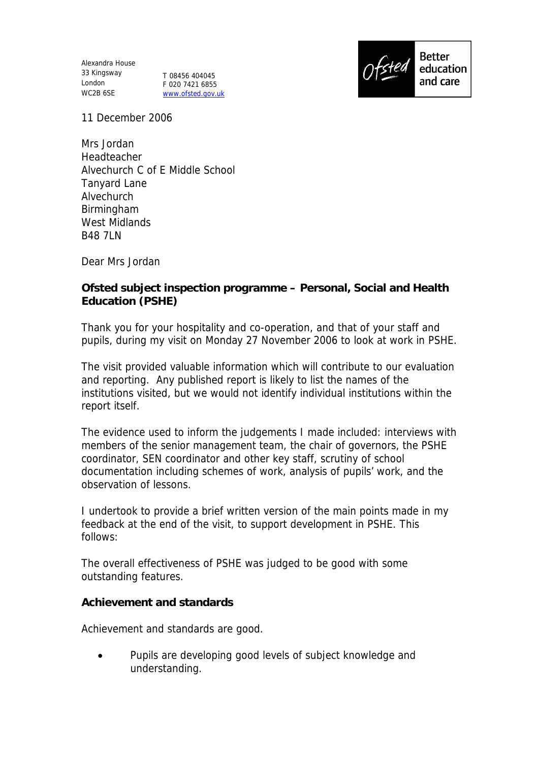Alexandra House 33 Kingsway London T 08456 404045 WC2B 6SE

F 020 7421 6855 www.ofsted.gov.uk



11 December 2006

Mrs Jordan Headteacher Alvechurch C of E Middle School Tanyard Lane Alvechurch Birmingham West Midlands **B48 7LN** 

Dear Mrs Jordan

**Ofsted subject inspection programme – Personal, Social and Health Education (PSHE)**

Thank you for your hospitality and co-operation, and that of your staff and pupils, during my visit on Monday 27 November 2006 to look at work in PSHE.

The visit provided valuable information which will contribute to our evaluation and reporting. Any published report is likely to list the names of the institutions visited, but we would not identify individual institutions within the report itself.

The evidence used to inform the judgements I made included: interviews with members of the senior management team, the chair of governors, the PSHE coordinator, SEN coordinator and other key staff, scrutiny of school documentation including schemes of work, analysis of pupils' work, and the observation of lessons.

I undertook to provide a brief written version of the main points made in my feedback at the end of the visit, to support development in PSHE. This follows:

The overall effectiveness of PSHE was judged to be good with some outstanding features.

**Achievement and standards**

Achievement and standards are good.

• Pupils are developing good levels of subject knowledge and understanding.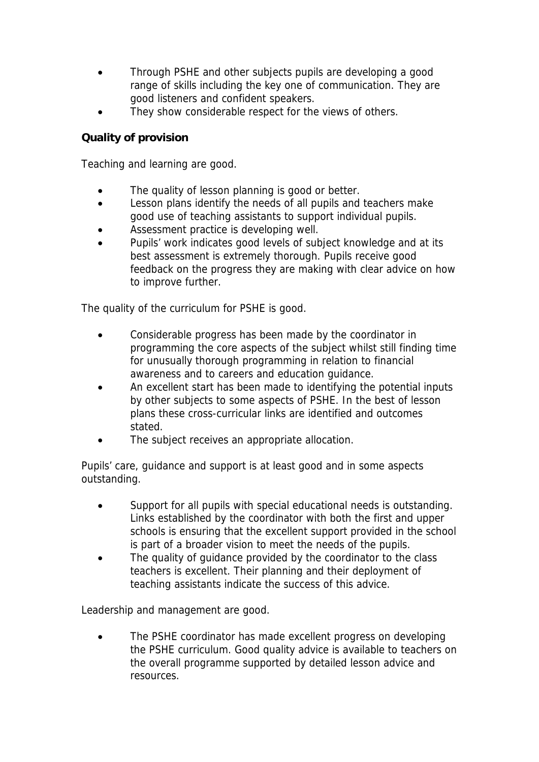- Through PSHE and other subjects pupils are developing a good range of skills including the key one of communication. They are good listeners and confident speakers.
- They show considerable respect for the views of others.

## **Quality of provision**

Teaching and learning are good.

- The quality of lesson planning is good or better.
- Lesson plans identify the needs of all pupils and teachers make good use of teaching assistants to support individual pupils.
- Assessment practice is developing well.
- Pupils' work indicates good levels of subject knowledge and at its best assessment is extremely thorough. Pupils receive good feedback on the progress they are making with clear advice on how to improve further.

The quality of the curriculum for PSHE is good.

- Considerable progress has been made by the coordinator in programming the core aspects of the subject whilst still finding time for unusually thorough programming in relation to financial awareness and to careers and education guidance.
- An excellent start has been made to identifying the potential inputs by other subjects to some aspects of PSHE. In the best of lesson plans these cross-curricular links are identified and outcomes stated.
- The subject receives an appropriate allocation.

Pupils' care, guidance and support is at least good and in some aspects outstanding.

- Support for all pupils with special educational needs is outstanding. Links established by the coordinator with both the first and upper schools is ensuring that the excellent support provided in the school is part of a broader vision to meet the needs of the pupils.
- The quality of guidance provided by the coordinator to the class teachers is excellent. Their planning and their deployment of teaching assistants indicate the success of this advice.

Leadership and management are good.

 The PSHE coordinator has made excellent progress on developing the PSHE curriculum. Good quality advice is available to teachers on the overall programme supported by detailed lesson advice and resources.